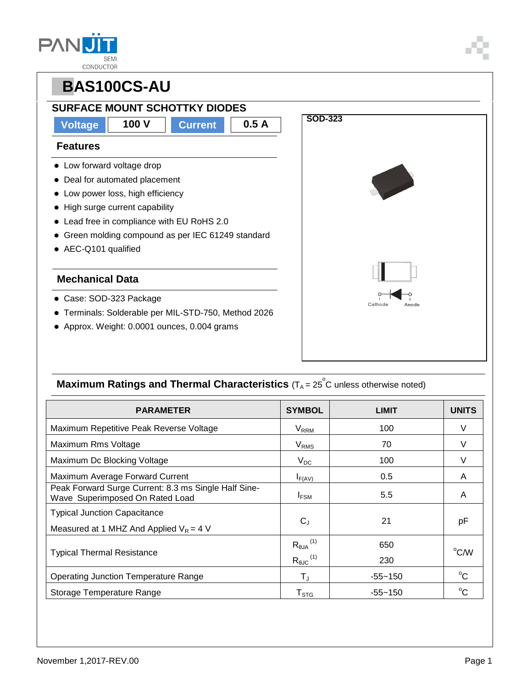| <b>SEMI</b> |
|-------------|
| CONDUCTOR   |



### **Maximum Ratings and Thermal Characteristics** (T<sub>A</sub> = 25<sup>°</sup>C unless otherwise noted)

| <b>PARAMETER</b>                                                                        | <b>SYMBOL</b>                         | <b>LIMIT</b> | <b>UNITS</b>   |  |
|-----------------------------------------------------------------------------------------|---------------------------------------|--------------|----------------|--|
| Maximum Repetitive Peak Reverse Voltage                                                 | $V_{RRM}$                             | 100          | V              |  |
| Maximum Rms Voltage                                                                     | $V_{RMS}$                             | 70           |                |  |
| Maximum Dc Blocking Voltage                                                             | $V_{DC}$                              | 100          | V              |  |
| Maximum Average Forward Current                                                         | $I_{F(AV)}$                           | 0.5          | A              |  |
| Peak Forward Surge Current: 8.3 ms Single Half Sine-<br>Wave Superimposed On Rated Load | $I_{FSM}$                             | 5.5          | A              |  |
| <b>Typical Junction Capacitance</b>                                                     |                                       |              |                |  |
| Measured at 1 MHZ And Applied $V_R = 4$ V                                               | $C_{J}$                               | 21           | рF             |  |
| <b>Typical Thermal Resistance</b>                                                       | $R_{\theta J A}{}^{(1)}$              | 650          | $^{\circ}$ C/W |  |
|                                                                                         | $R_{\theta \text{JC}}$ <sup>(1)</sup> | 230          |                |  |
| <b>Operating Junction Temperature Range</b>                                             | $\mathsf{T}_\mathsf{J}$               | $-55 - 150$  | $^{\circ}C$    |  |
| Storage Temperature Range                                                               | $\mathsf{T}_{\text{STG}}$             | $-55 - 150$  | $^{\circ}C$    |  |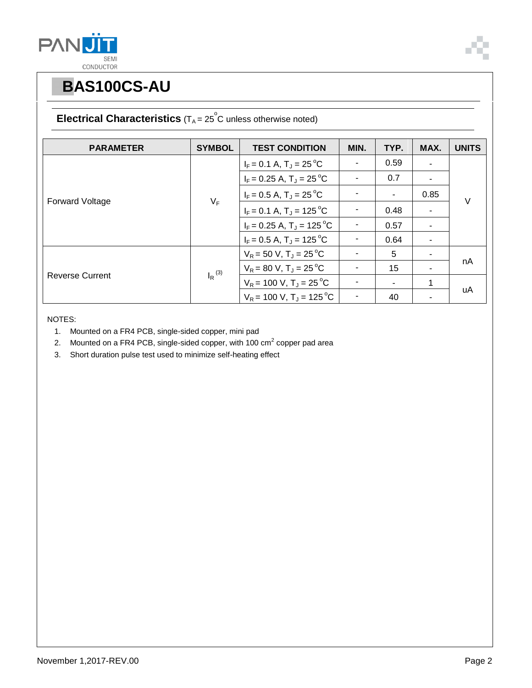



|  | <b>Electrical Characteristics</b> ( $T_A = 25^\circ$ C unless otherwise noted) |
|--|--------------------------------------------------------------------------------|
|--|--------------------------------------------------------------------------------|

| <b>PARAMETER</b>       | <b>SYMBOL</b>        | <b>TEST CONDITION</b>                  | MIN. | TYP. | MAX.                     | <b>UNITS</b> |
|------------------------|----------------------|----------------------------------------|------|------|--------------------------|--------------|
| <b>Forward Voltage</b> |                      | $I_F = 0.1 A$ , $T_J = 25^{\circ}C$    |      | 0.59 |                          | $\vee$       |
|                        |                      | $I_F = 0.25$ A, $T_J = 25$ °C          |      | 0.7  |                          |              |
|                        |                      | $I_F = 0.5 A$ , $T_J = 25 °C$          |      |      | 0.85                     |              |
|                        | $V_F$                | $I_F = 0.1 A$ , $T_J = 125 °C$         |      | 0.48 |                          |              |
|                        |                      | $I_F = 0.25$ A, $T_J = 125$ °C         |      | 0.57 | $\overline{\phantom{a}}$ |              |
|                        |                      | $I_F = 0.5 A$ , $T_J = 125 \degree C$  |      | 0.64 | $\overline{\phantom{a}}$ |              |
| <b>Reverse Current</b> | $I_R$ <sup>(3)</sup> | $V_R = 50 V, T_J = 25 °C$              |      | 5    |                          |              |
|                        |                      | $V_R$ = 80 V, T <sub>J</sub> = 25 °C   |      | 15   |                          | nA           |
|                        |                      | $V_R$ = 100 V, T <sub>J</sub> = 25 °C  |      |      |                          |              |
|                        |                      | $V_R$ = 100 V, T <sub>J</sub> = 125 °C |      | 40   |                          | uA           |

NOTES:

- 1. Mounted on a FR4 PCB, single-sided copper, mini pad
- 2. Mounted on a FR4 PCB, single-sided copper, with 100 cm<sup>2</sup> copper pad area
- 3. Short duration pulse test used to minimize self-heating effect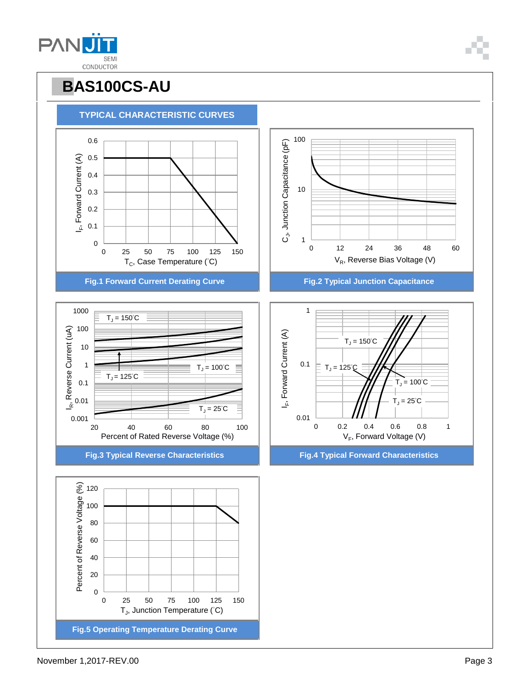November 1,2017-REV.00 Page 3



# **PBAS100CS-AU**

#### **PANU SEM** CONDUCTOR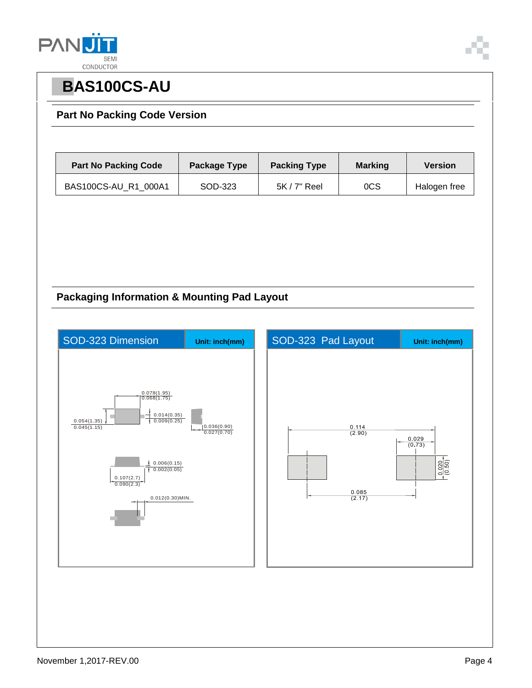



#### **Part No Packing Code Version**

| <b>Part No Packing Code</b> | Package Type | <b>Packing Type</b> | <b>Marking</b>  | <b>Version</b> |
|-----------------------------|--------------|---------------------|-----------------|----------------|
| BAS100CS-AU_R1_000A1        | SOD-323      | $5K/7"$ Reel        | <sub>0</sub> CS | Halogen free   |

#### **Packaging Information & Mounting Pad Layout**